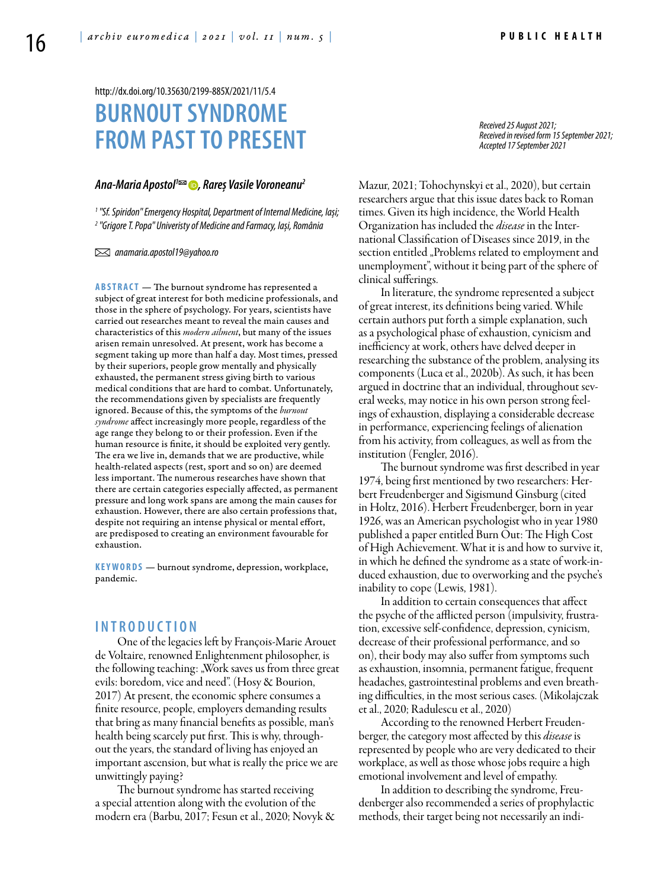# **BURNOUTSYNDROME FROM PAST TO PRESENT** http://dx.doi.org/10.35630/2199-885X/2021/11/5.4

# *[Ana-Maria Apostol1](https://orcid.org/0000-0003-0610-7194) , Rareș Vasile Voroneanu2*

*1 "Sf. Spiridon" Emergency Hospital, Department of Internal Medicine, Iași;*  <sup>2</sup> "Grigore T. Popa" Univeristy of Medicine and Farmacy, Iași, România

 *anamaria.apostol19@yahoo.ro* 

**ABSTRACT** — The burnout syndrome has represented a subject of great interest for both medicine professionals, and those in the sphere of psychology. For years, scientists have carried out researches meant to reveal the main causes and characteristics of this *modern ailment*, but many of the issues arisen remain unresolved. At present, work has become a segment taking up more than half a day. Most times, pressed by their superiors, people grow mentally and physically exhausted, the permanent stress giving birth to various medical conditions that are hard to combat. Unfortunately, the recommendations given by specialists are frequently ignored. Because of this, the symptoms of the *burnout syndrome* affect increasingly more people, regardless of the age range they belong to or their profession. Even if the human resource is finite, it should be exploited very gently. The era we live in, demands that we are productive, while health-related aspects (rest, sport and so on) are deemed less important. The numerous researches have shown that there are certain categories especially affected, as permanent pressure and long work spans are among the main causes for exhaustion. However, there are also certain professions that, despite not requiring an intense physical or mental effort, are predisposed to creating an environment favourable for exhaustion.

KEYWORDS - burnout syndrome, depression, workplace, pandemic.

## **I n t r o d uct i o n**

One of the legacies left by François-Marie Arouet de Voltaire, renowned Enlightenment philosopher, is the following teaching: "Work saves us from three great evils: boredom, vice and need". (Hosy & Bourion, 2017) At present, the economic sphere consumes a finite resource, people, employers demanding results that bring as many financial benefits as possible, man's health being scarcely put first. This is why, throughout the years, the standard of living has enjoyed an important ascension, but what is really the price we are unwittingly paying?

The burnout syndrome has started receiving a special attention along with the evolution of the modern era (Barbu, 2017; Fesun et al., 2020; Novyk & *Received 25 August 2021; Received in revised form 15 September 2021; Accepted 17 September 2021*

Mazur, 2021; Tohochynskyi et al., 2020), but certain researchers argue that this issue dates back to Roman times. Given its high incidence, the World Health Organization has included the *disease* in the International Classification of Diseases since 2019, in the section entitled "Problems related to employment and unemployment", without it being part of the sphere of clinical sufferings.

In literature, the syndrome represented a subject of great interest, its definitions being varied. While certain authors put forth a simple explanation, such as a psychological phase of exhaustion, cynicism and inefficiency at work, others have delved deeper in researching the substance of the problem, analysing its components (Luca et al., 2020b). As such, it has been argued in doctrine that an individual, throughout several weeks, may notice in his own person strong feelings of exhaustion, displaying a considerable decrease in performance, experiencing feelings of alienation from his activity, from colleagues, as well as from the institution (Fengler, 2016).

The burnout syndrome was first described in year 1974, being first mentioned by two researchers: Herbert Freudenberger and Sigismund Ginsburg (cited in Holtz, 2016). Herbert Freudenberger, born in year 1926, was an American psychologist who in year 1980 published a paper entitled Burn Out: The High Cost of High Achievement. What it is and how to survive it, in which he defined the syndrome as a state of work-induced exhaustion, due to overworking and the psyche's inability to cope (Lewis, 1981).

In addition to certain consequences that affect the psyche of the afflicted person (impulsivity, frustration, excessive self-confidence, depression, cynicism, decrease of their professional performance, and so on), their body may also suffer from symptoms such as exhaustion, insomnia, permanent fatigue, frequent headaches, gastrointestinal problems and even breathing difficulties, in the most serious cases. (Mikolajczak et al., 2020; Radulescu et al., 2020)

According to the renowned Herbert Freudenberger, the category most affected by this *disease* is represented by people who are very dedicated to their workplace, as well as those whose jobs require a high emotional involvement and level of empathy.

In addition to describing the syndrome, Freudenberger also recommended a series of prophylactic methods, their target being not necessarily an indi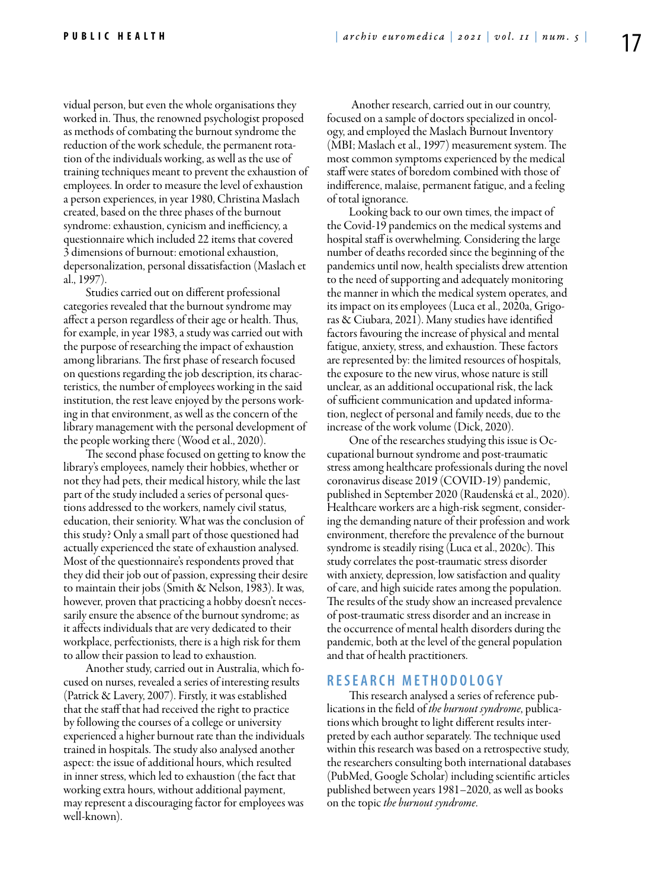vidual person, but even the whole organisations they worked in. Thus, the renowned psychologist proposed as methods of combating the burnout syndrome the reduction of the work schedule, the permanent rotation of the individuals working, as well as the use of training techniques meant to prevent the exhaustion of employees. In order to measure the level of exhaustion a person experiences, in year 1980, Christina Maslach created, based on the three phases of the burnout syndrome: exhaustion, cynicism and inefficiency, a questionnaire which included 22 items that covered 3 dimensions of burnout: emotional exhaustion, depersonalization, personal dissatisfaction (Maslach et al., 1997).

Studies carried out on different professional categories revealed that the burnout syndrome may affect a person regardless of their age or health. Thus, for example, in year 1983, a study was carried out with the purpose of researching the impact of exhaustion among librarians. The first phase of research focused on questions regarding the job description, its characteristics, the number of employees working in the said institution, the rest leave enjoyed by the persons working in that environment, as well as the concern of the library management with the personal development of the people working there (Wood et al., 2020).

The second phase focused on getting to know the library's employees, namely their hobbies, whether or not they had pets, their medical history, while the last part of the study included a series of personal questions addressed to the workers, namely civil status, education, their seniority. What was the conclusion of this study? Only a small part of those questioned had actually experienced the state of exhaustion analysed. Most of the questionnaire's respondents proved that they did their job out of passion, expressing their desire to maintain their jobs (Smith & Nelson, 1983). It was, however, proven that practicing a hobby doesn't necessarily ensure the absence of the burnout syndrome; as it affects individuals that are very dedicated to their workplace, perfectionists, there is a high risk for them to allow their passion to lead to exhaustion.

Another study, carried out in Australia, which focused on nurses, revealed a series of interesting results (Patrick & Lavery, 2007). Firstly, it was established that the staff that had received the right to practice by following the courses of a college or university experienced a higher burnout rate than the individuals trained in hospitals. The study also analysed another aspect: the issue of additional hours, which resulted in inner stress, which led to exhaustion (the fact that working extra hours, without additional payment, may represent a discouraging factor for employees was well-known).

 Another research, carried out in our country, focused on a sample of doctors specialized in oncology, and employed the Maslach Burnout Inventory (MBI; Maslach et al., 1997) measurement system. The most common symptoms experienced by the medical staff were states of boredom combined with those of indifference, malaise, permanent fatigue, and a feeling of total ignorance.

Looking back to our own times, the impact of the Covid-19 pandemics on the medical systems and hospital staff is overwhelming. Considering the large number of deaths recorded since the beginning of the pandemics until now, health specialists drew attention to the need of supporting and adequately monitoring the manner in which the medical system operates, and its impact on its employees (Luca et al., 2020a, Grigoras & Ciubara, 2021). Many studies have identified factors favouring the increase of physical and mental fatigue, anxiety, stress, and exhaustion. These factors are represented by: the limited resources of hospitals, the exposure to the new virus, whose nature is still unclear, as an additional occupational risk, the lack of sufficient communication and updated information, neglect of personal and family needs, due to the increase of the work volume (Dick, 2020).

One of the researches studying this issue is Occupational burnout syndrome and post-traumatic stress among healthcare professionals during the novel coronavirus disease 2019 (COVID-19) pandemic, published in September 2020 (Raudenská et al., 2020). Healthcare workers are a high-risk segment, considering the demanding nature of their profession and work environment, therefore the prevalence of the burnout syndrome is steadily rising (Luca et al., 2020c). This study correlates the post-traumatic stress disorder with anxiety, depression, low satisfaction and quality of care, and high suicide rates among the population. The results of the study show an increased prevalence of post-traumatic stress disorder and an increase in the occurrence of mental health disorders during the pandemic, both at the level of the general population and that of health practitioners.

### **RESEAR C H MET H ODOLO G Y**

This research analysed a series of reference publications in the field of *the burnout syndrome*, publications which brought to light different results interpreted by each author separately. The technique used within this research was based on a retrospective study, the researchers consulting both international databases (PubMed, Google Scholar) including scientific articles published between years 1981–2020, as well as books on the topic *the burnout syndrome*.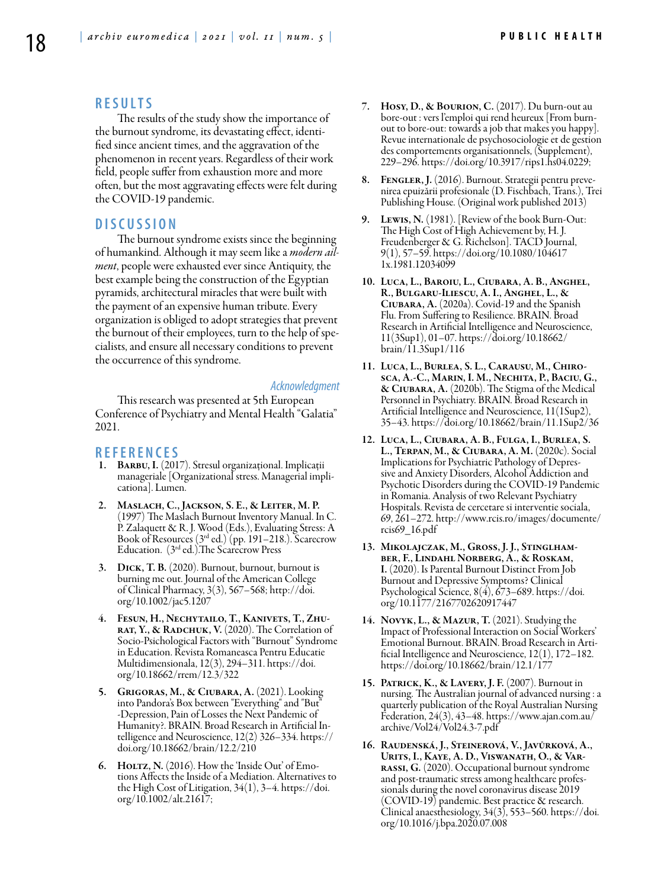### **RES U LTS**

The results of the study show the importance of the burnout syndrome, its devastating effect, identified since ancient times, and the aggravation of the phenomenon in recent years. Regardless of their work field, people suffer from exhaustion more and more often, but the most aggravating effects were felt during the COVID-19 pandemic.

#### **DISC U SSION**

The burnout syndrome exists since the beginning of humankind. Although it may seem like a *modern ailment*, people were exhausted ever since Antiquity, the best example being the construction of the Egyptian pyramids, architectural miracles that were built with the payment of an expensive human tribute. Every organization is obliged to adopt strategies that prevent the burnout of their employees, turn to the help of specialists, and ensure all necessary conditions to prevent the occurrence of this syndrome.

#### *Acknowledgment*

This research was presented at 5th European Conference of Psychiatry and Mental Health "Galatia" 2021.

#### **REFEREN CES**

- 1. Barbu, I. (2017). Stresul organizațional. Implicații manageriale [Organizational stress. Managerial implicationa]. Lumen.
- 2. Maslach, C., Jackson, S. E., & Leiter, M. P. (1997) The Maslach Burnout Inventory Manual. In C. P. Zalaquett & R. J. Wood (Eds.), Evaluating Stress: A Book of Resources (3rd ed.) (pp. 191–218.). Scarecrow Education. (3rd ed.).The Scarecrow Press
- 3. Dick, T. B. (2020). Burnout, burnout, burnout is burning me out. Journal of the American College of Clinical Pharmacy, 3(3), 567–568; http://doi. org/10.1002/jac5.1207
- 4. Fesun, H., Nechytailo, T., Kanivets, T., Zhu-RAT, Y., & RADCHUK, V. (2020). The Correlation of Socio-Psichological Factors with "Burnout" Syndrome in Education. Revista Romaneasca Pentru Educatie Multidimensionala, 12(3), 294–311. https://doi. org/10.18662/rrem/12.3/322
- 5. Grigoras, M., & Ciubara, A. (2021). Looking into Pandora's Box between "Everything" and "But" -Depression, Pain of Losses the Next Pandemic of Humanity?. BRAIN. Broad Research in Artificial Intelligence and Neuroscience, 12(2) 326–334. https:// doi.org/10.18662/brain/12.2/210
- 6. Holtz, N. (2016). How the 'Inside Out' of Emo- tions Affects the Inside of a Mediation. Alternatives to the High Cost of Litigation, 34(1), 3–4. https://doi. org/10.1002/alt.21617;
- 7. Hosy, D., & Bourion, C. (2017). Du burn-out au bore-out : vers l'emploi qui rend heureux [From burnout to bore-out: towards a job that makes you happy]. Revue internationale de psychosociologie et de gestion des comportements organisationnels, (Supplement), 229–296. https://doi.org/10.3917/rips1.hs04.0229;
- 8. Fengler, J. (2016). Burnout. Strategii pentru prevenirea epuizării profesionale (D. Fischbach, Trans.), Trei Publishing House. (Original work published 2013)
- 9. Lewis, N. (1981). [Review of the book Burn-Out: The High Cost of High Achievement by, H. J. Freudenberger & G. Richelson]. TACD Journal, 9(1), 57–59. https://doi.org/10.1080/104617 1x.1981.12034099
- 10. Luca, L., Baroiu, L., Ciubara, A. B., Anghel, R., Bulgaru-Iliescu, A. I., Anghel, L., & Ciubara, A. (2020a). Covid-19 and the Spanish Flu. From Suffering to Resilience. BRAIN. Broad Research in Artificial Intelligence and Neuroscience, 11(3Sup1), 01–07. https://doi.org/10.18662/ brain/11.3Sup1/116
- 11. Luca, L., Burlea, S. L., Carausu, M., Chirosca, A.-C., Marin, I. M., Nechita, P., Baciu, G., & Ciubara, A. (2020b). The Stigma of the Medical Personnel in Psychiatry. BRAIN. Broad Research in Artificial Intelligence and Neuroscience, 11(1Sup2), 35–43. https://doi.org/10.18662/brain/11.1Sup2/36
- 12. Luca, L., Ciubara, A. B., Fulga, I., Burlea, S. L., Terpan, M., & Ciubara, A. M. (2020c). Social Implications for Psychiatric Pathology of Depressive and Anxiety Disorders, Alcohol Addiction and Psychotic Disorders during the COVID-19 Pandemic in Romania. Analysis of two Relevant Psychiatry Hospitals. Revista de cercetare si interventie sociala, 69, 261–272. http://www.rcis.ro/images/documente/ rcis69\_16.pdf
- 13. Mikolajczak, M., Gross, J. J., Stinglhamber, F., Lindahl Norberg, A., & Roskam, I. (2020). Is Parental Burnout Distinct From Job Burnout and Depressive Symptoms? Clinical Psychological Science, 8(4), 673–689. https://doi. org/10.1177/2167702620917447
- 14. Novyk, L., & Mazur, T. (2021). Studying the Impact of Professional Interaction on Social Workers' ficial Intelligence and Neuroscience, 12(1), 172–182. https://doi.org/10.18662/brain/12.1/177
- 15. Patrick, K., & Lavery, J. F. (2007). Burnout in nursing. The Australian journal of advanced nursing : a quarterly publication of the Royal Australian Nursing Federation, 24(3), 43–48. https://www.ajan.com.au/ archive/Vol24/Vol24.3-7.pdf
- 16. Raudenská, J., Steinerová, V., Javůrková, A., RASSI, G. (2020). Occupational burnout syndrome and post-traumatic stress among healthcare profes- sionals during the novel coronavirus disease 2019 (COVID-19) pandemic. Best practice & research. Clinical anaesthesiology, 34(3), 553–560. https://doi. org/10.1016/j.bpa.2020.07.008